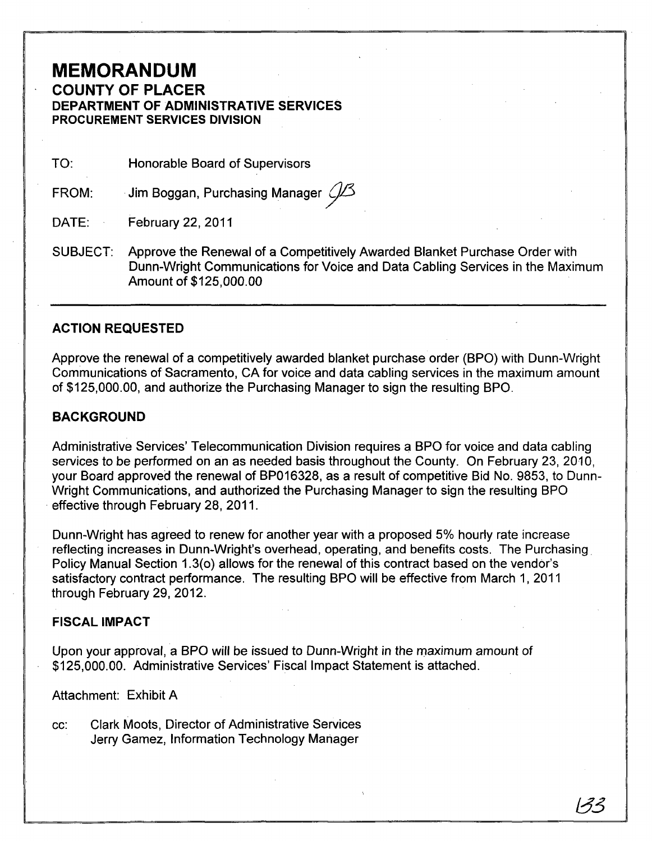## **MEMORANDUM COUNTY OF PLACER DEPARTMENT OF ADMINISTRATIVE SERVICES PROCUREMENT SERVICES DIVISION**

TO: Honorable Board of Supervisors

FROM: Jim Boggan, Purchasing Manager  $O\!\!\!\!/\mathcal{S}$ 

DATE: February 22, 2011

SUBJECT: Approve the Renewal of a Competitively Awarded Blanket Purchase Order with Dunn-Wright Communications for Voice and Data Cabling Services in the Maximum Amount of \$125,000.00

### **ACTION REQUESTED**

Approve the renewal of a competitively awarded blanket purchase order (BPO) with Dunn-Wright Communications of Sacramento, CA for voice and data cabling services in the maximum amount of \$125,000.00, and authorize the Purchasing Manager to sign the resulting BPO.

## **BACKGROUND**

Administrative Services' Telecommunication Division requires a BPO for voice and data cabling services to be performed on an as needed basis throughout the County. On February 23, 2010, your Board approved the renewal of BP016328, as a result of competitive Bid No. 9853, to Dunn-Wright Communications, and authorized the Purchasing Manager to sign the resulting BPO . effective through February 28, 2011.

Dunn-Wright has agreed to renew for another year with a proposed 5% hourly rate increase reflecting increases in Dunn-Wright's overhead, operating, and benefits costs. The Purchasing. Policy Manual Section 1.3(0) allows for the renewal of this contract based on the vendor's satisfactory contract performance. The resulting BPO will be effective from March 1, 2011 through February 29, 2012.

#### **FISCAL IMPACT**

Upon your approval, a BPO will be issued to Dunn-Wright in the maximum amount of \$125,000.00. Administrative Services' Fiscal Impact Statement is attached.

Attachment: Exhibit A

cc: Clark Moots, Director of Administrative Services Jerry Gamez, Information Technology Manager